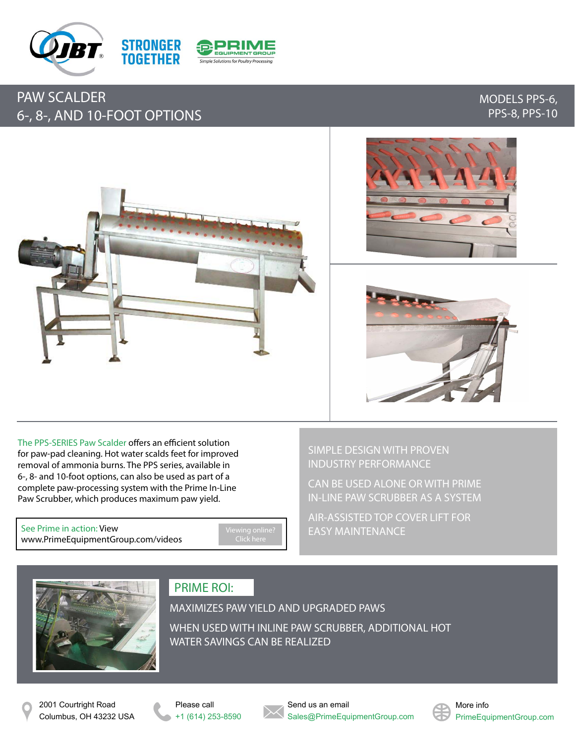

## PAW SCALDER 6-, 8-, AND 10-FOOT OPTIONS

### MODELS PPS-6, PPS-8, PPS-10



The PPS-SERIES Paw Scalder offers an efficient solution for paw-pad cleaning. Hot water scalds feet for improved removal of ammonia burns. The PPS series, available in 6-, 8- and 10-foot options, can also be used as part of a complete paw-processing system with the Prime In-Line Paw Scrubber, which produces maximum paw yield.

See Prime in action: View [www.PrimeEquipmentGroup.com/videos](http://www.primeequipmentgroup.com/videos)

[Viewing online?](http://www.primeequipmentgroup.com/videos)  Click here

SIMPLE DESIGN WITH PROVEN INDUSTRY PERFORMANCE

CAN BE USED ALONE OR WITH PRIME IN-LINE PAW SCRUBBER AS A SYSTEM

AIR-ASSISTED TOP COVER LIFT FOR EASY MAINTENANCE



## PRIME ROI:

MAXIMIZES PAW YIELD AND UPGRADED PAWS WHEN USED WITH INLINE PAW SCRUBBER, ADDITIONAL HOT WATER SAVINGS CAN BE REALIZED